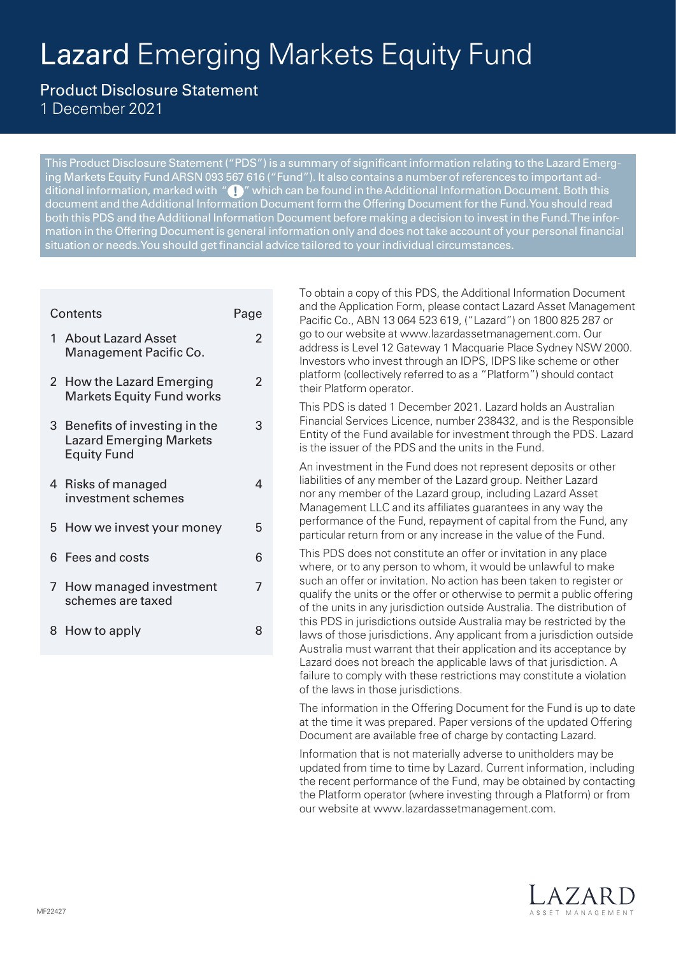# Lazard Emerging Markets Equity Fund

 $\mathfrak{p}$ 

 $\overline{2}$ 

3

4

7

# Product Disclosure Statement

1 December 2021

This Product Disclosure Statement ("PDS") is a summary of significant information relating to the Lazard Emerging Markets Equity Fund ARSN 093 567 616 ("Fund"). It also contains a number of references to important additional information, marked with "  $\Box$ " which can be found in the Additional Information Document. Both this document and the Additional Information Document form the Offering Document for the Fund. You should read both this PDS and the Additional Information Document before making a decision to invest in the Fund. The information in the Offering Document is general information only and does not take account of your personal financial situation or needs. You should get financial advice tailored to your individual circumstances.

# Contents **Page**

- 1 About Lazard Asset Management Pacific Co.
- 2 How the Lazard Emerging Markets Equity Fund works
- 3 Benefits of investing in the Lazard Emerging Markets Equity Fund
- 4 Risks of managed investment schemes
- 5 How we invest your money 5
- 6 Fees and costs 6
- 7 How managed investment schemes are taxed
- 8 How to apply 8

To obtain a copy of this PDS, the Additional Information Document and the Application Form, please contact Lazard Asset Management Pacific Co., ABN 13 064 523 619, ("Lazard") on 1800 825 287 or go to our website at www.lazardassetmanagement.com. Our address is Level 12 Gateway 1 Macquarie Place Sydney NSW 2000. Investors who invest through an IDPS, IDPS like scheme or other platform (collectively referred to as a "Platform") should contact their Platform operator.

This PDS is dated 1 December 2021. Lazard holds an Australian Financial Services Licence, number 238432, and is the Responsible Entity of the Fund available for investment through the PDS. Lazard is the issuer of the PDS and the units in the Fund.

An investment in the Fund does not represent deposits or other liabilities of any member of the Lazard group. Neither Lazard nor any member of the Lazard group, including Lazard Asset Management LLC and its affiliates guarantees in any way the performance of the Fund, repayment of capital from the Fund, any particular return from or any increase in the value of the Fund.

This PDS does not constitute an offer or invitation in any place where, or to any person to whom, it would be unlawful to make such an offer or invitation. No action has been taken to register or qualify the units or the offer or otherwise to permit a public offering of the units in any jurisdiction outside Australia. The distribution of this PDS in jurisdictions outside Australia may be restricted by the laws of those jurisdictions. Any applicant from a jurisdiction outside Australia must warrant that their application and its acceptance by Lazard does not breach the applicable laws of that jurisdiction. A failure to comply with these restrictions may constitute a violation of the laws in those jurisdictions.

The information in the Offering Document for the Fund is up to date at the time it was prepared. Paper versions of the updated Offering Document are available free of charge by contacting Lazard.

Information that is not materially adverse to unitholders may be updated from time to time by Lazard. Current information, including the recent performance of the Fund, may be obtained by contacting the Platform operator (where investing through a Platform) or from our website at www.lazardassetmanagement.com.

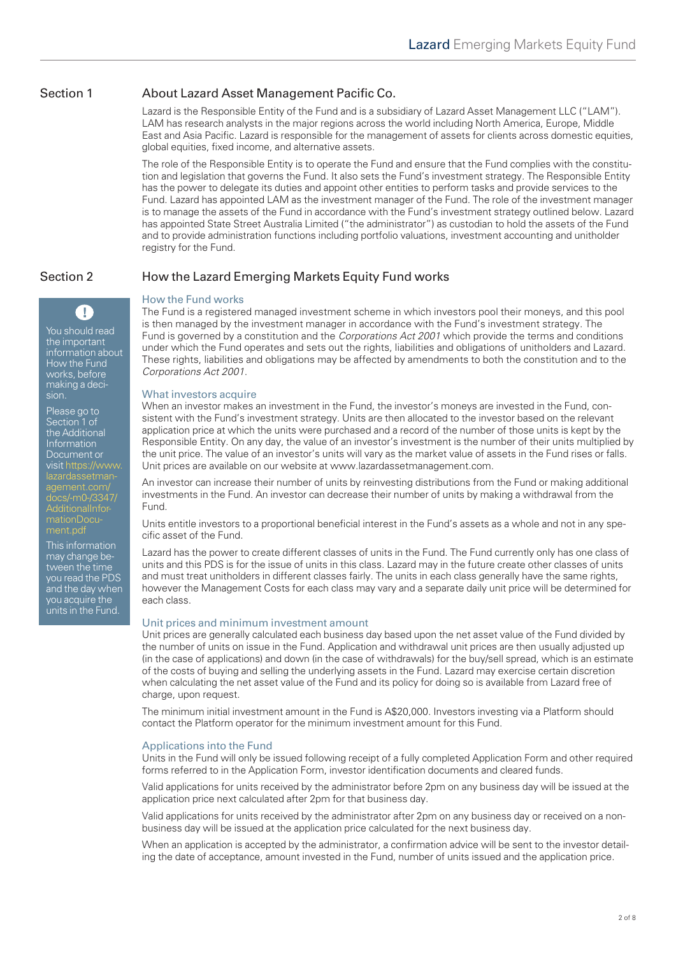# Section 1 About Lazard Asset Management Pacific Co.

Lazard is the Responsible Entity of the Fund and is a subsidiary of Lazard Asset Management LLC ("LAM"). LAM has research analysts in the major regions across the world including North America, Europe, Middle East and Asia Pacific. Lazard is responsible for the management of assets for clients across domestic equities, global equities, fixed income, and alternative assets.

The role of the Responsible Entity is to operate the Fund and ensure that the Fund complies with the constitution and legislation that governs the Fund. It also sets the Fund's investment strategy. The Responsible Entity has the power to delegate its duties and appoint other entities to perform tasks and provide services to the Fund. Lazard has appointed LAM as the investment manager of the Fund. The role of the investment manager is to manage the assets of the Fund in accordance with the Fund's investment strategy outlined below. Lazard has appointed State Street Australia Limited ("the administrator") as custodian to hold the assets of the Fund and to provide administration functions including portfolio valuations, investment accounting and unitholder registry for the Fund.

# Section 2 How the Lazard Emerging Markets Equity Fund works

sion.

Please go to Section 1 of the Additional Information Document or [visit https://www.](https://www.lazardassetmanagement.com/docs/-m0-/3347/AdditionalInformationDocument.pdf) lazardassetmanagement.com/ docs/-m0-/3347/ AdditionalInformationDocu-

This information may change between the time you read the PDS and the day when you acquire the units in the Fund.

You should read the important information about How the Fund works, before making a deci-

 $\mathbf T$ 

# How the Fund works

The Fund is a registered managed investment scheme in which investors pool their moneys, and this pool is then managed by the investment manager in accordance with the Fund's investment strategy. The Fund is governed by a constitution and the *Corporations Act 2001* which provide the terms and conditions under which the Fund operates and sets out the rights, liabilities and obligations of unitholders and Lazard. These rights, liabilities and obligations may be affected by amendments to both the constitution and to the *Corporations Act 2001*.

#### What investors acquire

When an investor makes an investment in the Fund, the investor's moneys are invested in the Fund, consistent with the Fund's investment strategy. Units are then allocated to the investor based on the relevant application price at which the units were purchased and a record of the number of those units is kept by the Responsible Entity. On any day, the value of an investor's investment is the number of their units multiplied by the unit price. The value of an investor's units will vary as the market value of assets in the Fund rises or falls. Unit prices are available on our website at www.lazardassetmanagement.com.

An investor can increase their number of units by reinvesting distributions from the Fund or making additional investments in the Fund. An investor can decrease their number of units by making a withdrawal from the Fund.

Units entitle investors to a proportional beneficial interest in the Fund's assets as a whole and not in any specific asset of the Fund.

Lazard has the power to create different classes of units in the Fund. The Fund currently only has one class of units and this PDS is for the issue of units in this class. Lazard may in the future create other classes of units and must treat unitholders in different classes fairly. The units in each class generally have the same rights, however the Management Costs for each class may vary and a separate daily unit price will be determined for each class.

## Unit prices and minimum investment amount

Unit prices are generally calculated each business day based upon the net asset value of the Fund divided by the number of units on issue in the Fund. Application and withdrawal unit prices are then usually adjusted up (in the case of applications) and down (in the case of withdrawals) for the buy/sell spread, which is an estimate of the costs of buying and selling the underlying assets in the Fund. Lazard may exercise certain discretion when calculating the net asset value of the Fund and its policy for doing so is available from Lazard free of charge, upon request.

The minimum initial investment amount in the Fund is A\$20,000. Investors investing via a Platform should contact the Platform operator for the minimum investment amount for this Fund.

## Applications into the Fund

Units in the Fund will only be issued following receipt of a fully completed Application Form and other required forms referred to in the Application Form, investor identification documents and cleared funds.

Valid applications for units received by the administrator before 2pm on any business day will be issued at the application price next calculated after 2pm for that business day.

Valid applications for units received by the administrator after 2pm on any business day or received on a nonbusiness day will be issued at the application price calculated for the next business day.

When an application is accepted by the administrator, a confirmation advice will be sent to the investor detailing the date of acceptance, amount invested in the Fund, number of units issued and the application price.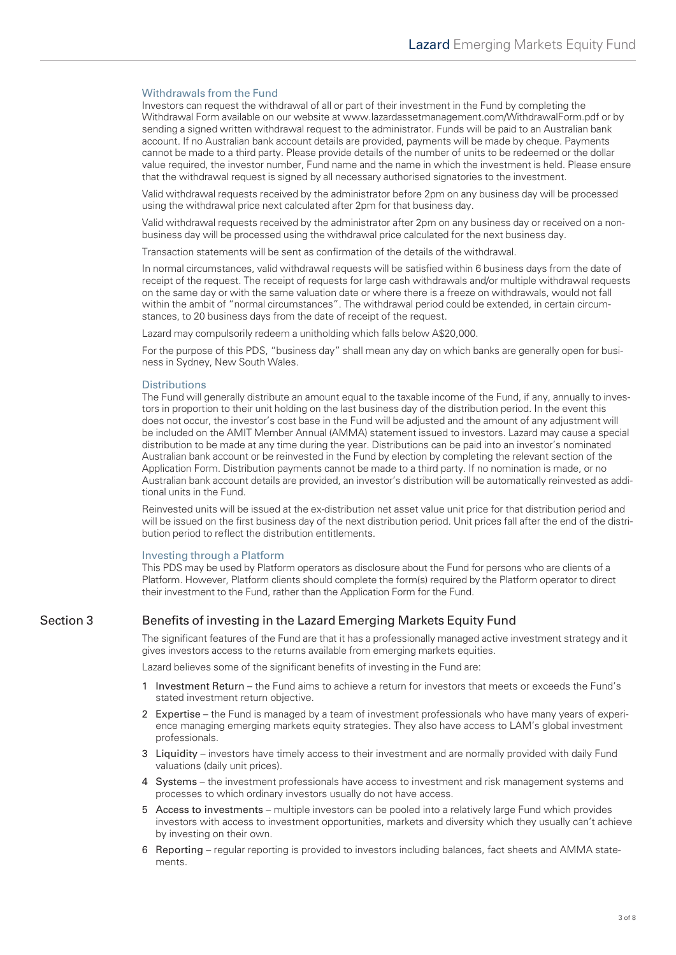#### Withdrawals from the Fund

Investors can request the withdrawal of all or part of their investment in the Fund by completing the Withdrawal Form available on our website at [www.lazardassetmanagement.com/WithdrawalForm.pdf](https://www.lazardassetmanagement.com/docs/-m0-/24350/with-drawalform_en.pdf) or by sending a signed written withdrawal request to the administrator. Funds will be paid to an Australian bank account. If no Australian bank account details are provided, payments will be made by cheque. Payments cannot be made to a third party. Please provide details of the number of units to be redeemed or the dollar value required, the investor number, Fund name and the name in which the investment is held. Please ensure that the withdrawal request is signed by all necessary authorised signatories to the investment.

Valid withdrawal requests received by the administrator before 2pm on any business day will be processed using the withdrawal price next calculated after 2pm for that business day.

Valid withdrawal requests received by the administrator after 2pm on any business day or received on a nonbusiness day will be processed using the withdrawal price calculated for the next business day.

Transaction statements will be sent as confirmation of the details of the withdrawal.

In normal circumstances, valid withdrawal requests will be satisfied within 6 business days from the date of receipt of the request. The receipt of requests for large cash withdrawals and/or multiple withdrawal requests on the same day or with the same valuation date or where there is a freeze on withdrawals, would not fall within the ambit of "normal circumstances". The withdrawal period could be extended, in certain circumstances, to 20 business days from the date of receipt of the request.

Lazard may compulsorily redeem a unitholding which falls below A\$20,000.

For the purpose of this PDS, "business day" shall mean any day on which banks are generally open for business in Sydney, New South Wales.

#### **Distributions**

The Fund will generally distribute an amount equal to the taxable income of the Fund, if any, annually to investors in proportion to their unit holding on the last business day of the distribution period. In the event this does not occur, the investor's cost base in the Fund will be adjusted and the amount of any adjustment will be included on the AMIT Member Annual (AMMA) statement issued to investors. Lazard may cause a special distribution to be made at any time during the year. Distributions can be paid into an investor's nominated Australian bank account or be reinvested in the Fund by election by completing the relevant section of the Application Form. Distribution payments cannot be made to a third party. If no nomination is made, or no Australian bank account details are provided, an investor's distribution will be automatically reinvested as additional units in the Fund.

Reinvested units will be issued at the ex-distribution net asset value unit price for that distribution period and will be issued on the first business day of the next distribution period. Unit prices fall after the end of the distribution period to reflect the distribution entitlements.

#### Investing through a Platform

This PDS may be used by Platform operators as disclosure about the Fund for persons who are clients of a Platform. However, Platform clients should complete the form(s) required by the Platform operator to direct their investment to the Fund, rather than the Application Form for the Fund.

# Section 3 Benefits of investing in the Lazard Emerging Markets Equity Fund

The significant features of the Fund are that it has a professionally managed active investment strategy and it gives investors access to the returns available from emerging markets equities.

Lazard believes some of the significant benefits of investing in the Fund are:

- 1 Investment Return the Fund aims to achieve a return for investors that meets or exceeds the Fund's stated investment return objective.
- 2 Expertise the Fund is managed by a team of investment professionals who have many years of experience managing emerging markets equity strategies. They also have access to LAM's global investment professionals.
- 3 Liquidity investors have timely access to their investment and are normally provided with daily Fund valuations (daily unit prices).
- 4 Systems the investment professionals have access to investment and risk management systems and processes to which ordinary investors usually do not have access.
- 5 Access to investments multiple investors can be pooled into a relatively large Fund which provides investors with access to investment opportunities, markets and diversity which they usually can't achieve by investing on their own.
- 6 Reporting regular reporting is provided to investors including balances, fact sheets and AMMA statements.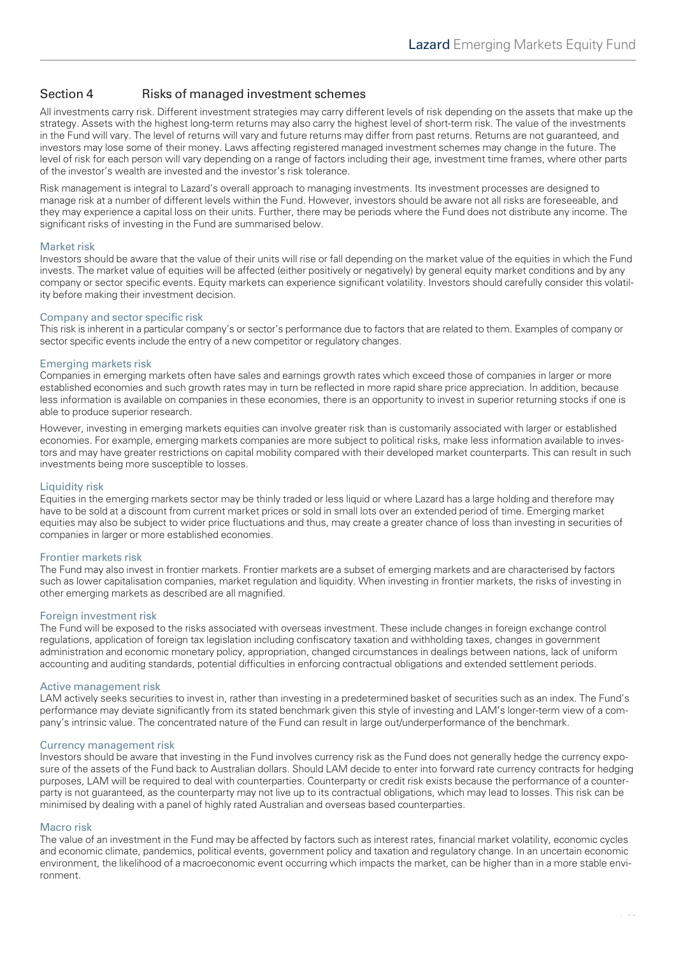# Section 4 Risks of managed investment schemes

All investments carry risk. Different investment strategies may carry different levels of risk depending on the assets that make up the strategy. Assets with the highest long-term returns may also carry the highest level of short-term risk. The value of the investments in the Fund will vary. The level of returns will vary and future returns may differ from past returns. Returns are not guaranteed, and investors may lose some of their money. Laws affecting registered managed investment schemes may change in the future. The level of risk for each person will vary depending on a range of factors including their age, investment time frames, where other parts of the investor's wealth are invested and the investor's risk tolerance.

Risk management is integral to Lazard's overall approach to managing investments. Its investment processes are designed to manage risk at a number of different levels within the Fund. However, investors should be aware not all risks are foreseeable, and they may experience a capital loss on their units. Further, there may be periods where the Fund does not distribute any income. The significant risks of investing in the Fund are summarised below.

#### Market risk

Investors should be aware that the value of their units will rise or fall depending on the market value of the equities in which the Fund invests. The market value of equities will be affected (either positively or negatively) by general equity market conditions and by any company or sector specific events. Equity markets can experience significant volatility. Investors should carefully consider this volatility before making their investment decision.

#### Company and sector specific risk

This risk is inherent in a particular company's or sector's performance due to factors that are related to them. Examples of company or sector specific events include the entry of a new competitor or regulatory changes.

#### Emerging markets risk

Companies in emerging markets often have sales and earnings growth rates which exceed those of companies in larger or more established economies and such growth rates may in turn be reflected in more rapid share price appreciation. In addition, because less information is available on companies in these economies, there is an opportunity to invest in superior returning stocks if one is able to produce superior research.

However, investing in emerging markets equities can involve greater risk than is customarily associated with larger or established economies. For example, emerging markets companies are more subject to political risks, make less information available to investors and may have greater restrictions on capital mobility compared with their developed market counterparts. This can result in such investments being more susceptible to losses.

#### Liquidity risk

Equities in the emerging markets sector may be thinly traded or less liquid or where Lazard has a large holding and therefore may have to be sold at a discount from current market prices or sold in small lots over an extended period of time. Emerging market equities may also be subject to wider price fluctuations and thus, may create a greater chance of loss than investing in securities of companies in larger or more established economies.

#### Frontier markets risk

The Fund may also invest in frontier markets. Frontier markets are a subset of emerging markets and are characterised by factors such as lower capitalisation companies, market regulation and liquidity. When investing in frontier markets, the risks of investing in other emerging markets as described are all magnified.

#### Foreign investment risk

The Fund will be exposed to the risks associated with overseas investment. These include changes in foreign exchange control regulations, application of foreign tax legislation including confiscatory taxation and withholding taxes, changes in government administration and economic monetary policy, appropriation, changed circumstances in dealings between nations, lack of uniform accounting and auditing standards, potential difficulties in enforcing contractual obligations and extended settlement periods.

#### Active management risk

LAM actively seeks securities to invest in, rather than investing in a predetermined basket of securities such as an index. The Fund's performance may deviate significantly from its stated benchmark given this style of investing and LAM's longer-term view of a company's intrinsic value. The concentrated nature of the Fund can result in large out/underperformance of the benchmark.

#### Currency management risk

Investors should be aware that investing in the Fund involves currency risk as the Fund does not generally hedge the currency exposure of the assets of the Fund back to Australian dollars. Should LAM decide to enter into forward rate currency contracts for hedging purposes, LAM will be required to deal with counterparties. Counterparty or credit risk exists because the performance of a counterparty is not guaranteed, as the counterparty may not live up to its contractual obligations, which may lead to losses. This risk can be minimised by dealing with a panel of highly rated Australian and overseas based counterparties.

#### Macro risk

The value of an investment in the Fund may be affected by factors such as interest rates, financial market volatility, economic cycles and economic climate, pandemics, political events, government policy and taxation and regulatory change. In an uncertain economic environment, the likelihood of a macroeconomic event occurring which impacts the market, can be higher than in a more stable environment.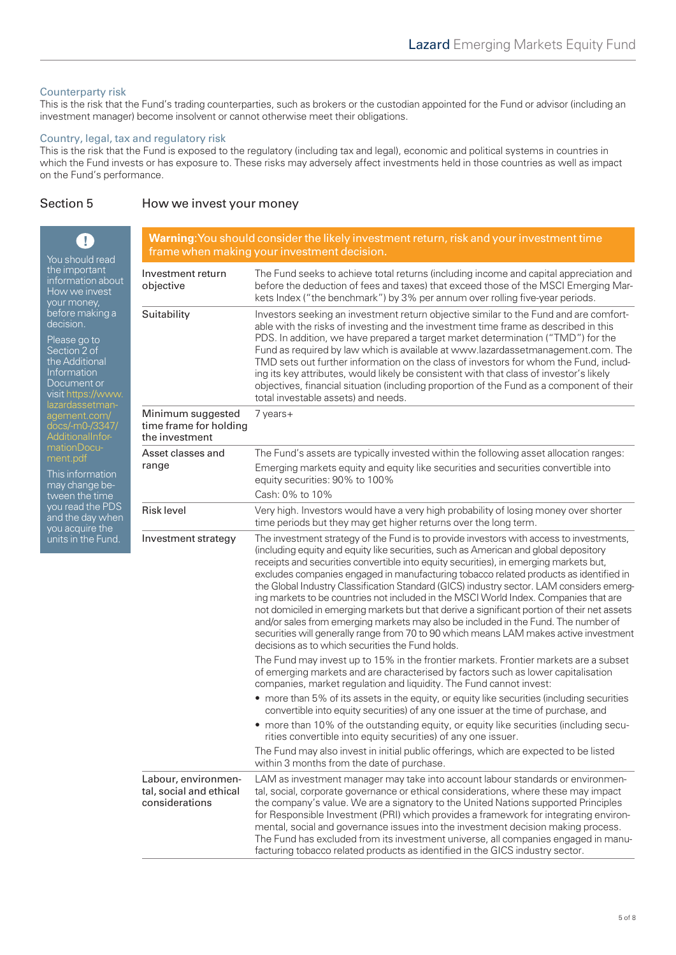## Counterparty risk

This is the risk that the Fund's trading counterparties, such as brokers or the custodian appointed for the Fund or advisor (including an investment manager) become insolvent or cannot otherwise meet their obligations.

#### Country, legal, tax and regulatory risk

This is the risk that the Fund is exposed to the regulatory (including tax and legal), economic and political systems in countries in which the Fund invests or has exposure to. These risks may adversely affect investments held in those countries as well as impact on the Fund's performance.

## Section 5 How we invest your money

| Ţ.<br>You should read<br>the important<br>information about<br>How we invest<br>your money,<br>before making a<br>decision.<br>Please go to<br>Section 2 of<br>the Additional<br>Information<br>Document or<br>visit https://www.<br>lazardassetman-<br>agement.com/<br>docs/-m0-/3347/<br><b>AdditionalInfor-</b><br>mationDocu-<br>ment.pdf<br>This information<br>may change be-<br>tween the time<br>you read the PDS<br>and the day when<br>you acquire the<br>units in the Fund. | <b>Warning:</b> You should consider the likely investment return, risk and your investment time<br>frame when making your investment decision. |                                                                                                                                                                                                                                                                                                                                                                                                                                                                                                                                                                                                                                                                                                                                                                                                                                                                                         |  |
|----------------------------------------------------------------------------------------------------------------------------------------------------------------------------------------------------------------------------------------------------------------------------------------------------------------------------------------------------------------------------------------------------------------------------------------------------------------------------------------|------------------------------------------------------------------------------------------------------------------------------------------------|-----------------------------------------------------------------------------------------------------------------------------------------------------------------------------------------------------------------------------------------------------------------------------------------------------------------------------------------------------------------------------------------------------------------------------------------------------------------------------------------------------------------------------------------------------------------------------------------------------------------------------------------------------------------------------------------------------------------------------------------------------------------------------------------------------------------------------------------------------------------------------------------|--|
|                                                                                                                                                                                                                                                                                                                                                                                                                                                                                        | Investment return<br>objective                                                                                                                 | The Fund seeks to achieve total returns (including income and capital appreciation and<br>before the deduction of fees and taxes) that exceed those of the MSCI Emerging Mar-<br>kets Index ("the benchmark") by 3% per annum over rolling five-year periods.                                                                                                                                                                                                                                                                                                                                                                                                                                                                                                                                                                                                                           |  |
|                                                                                                                                                                                                                                                                                                                                                                                                                                                                                        | Suitability                                                                                                                                    | Investors seeking an investment return objective similar to the Fund and are comfort-<br>able with the risks of investing and the investment time frame as described in this<br>PDS. In addition, we have prepared a target market determination ("TMD") for the<br>Fund as required by law which is available at www.lazardassetmanagement.com. The<br>TMD sets out further information on the class of investors for whom the Fund, includ-<br>ing its key attributes, would likely be consistent with that class of investor's likely<br>objectives, financial situation (including proportion of the Fund as a component of their<br>total investable assets) and needs.                                                                                                                                                                                                            |  |
|                                                                                                                                                                                                                                                                                                                                                                                                                                                                                        | Minimum suggested<br>time frame for holding<br>the investment                                                                                  | 7 years+                                                                                                                                                                                                                                                                                                                                                                                                                                                                                                                                                                                                                                                                                                                                                                                                                                                                                |  |
|                                                                                                                                                                                                                                                                                                                                                                                                                                                                                        | Asset classes and<br>range                                                                                                                     | The Fund's assets are typically invested within the following asset allocation ranges:<br>Emerging markets equity and equity like securities and securities convertible into<br>equity securities: 90% to 100%<br>Cash: 0% to 10%                                                                                                                                                                                                                                                                                                                                                                                                                                                                                                                                                                                                                                                       |  |
|                                                                                                                                                                                                                                                                                                                                                                                                                                                                                        | <b>Risk level</b>                                                                                                                              | Very high. Investors would have a very high probability of losing money over shorter<br>time periods but they may get higher returns over the long term.                                                                                                                                                                                                                                                                                                                                                                                                                                                                                                                                                                                                                                                                                                                                |  |
|                                                                                                                                                                                                                                                                                                                                                                                                                                                                                        | Investment strategy                                                                                                                            | The investment strategy of the Fund is to provide investors with access to investments,<br>(including equity and equity like securities, such as American and global depository<br>receipts and securities convertible into equity securities), in emerging markets but,<br>excludes companies engaged in manufacturing tobacco related products as identified in<br>the Global Industry Classification Standard (GICS) industry sector. LAM considers emerg-<br>ing markets to be countries not included in the MSCI World Index. Companies that are<br>not domiciled in emerging markets but that derive a significant portion of their net assets<br>and/or sales from emerging markets may also be included in the Fund. The number of<br>securities will generally range from 70 to 90 which means LAM makes active investment<br>decisions as to which securities the Fund holds. |  |
|                                                                                                                                                                                                                                                                                                                                                                                                                                                                                        |                                                                                                                                                | The Fund may invest up to 15% in the frontier markets. Frontier markets are a subset<br>of emerging markets and are characterised by factors such as lower capitalisation<br>companies, market regulation and liquidity. The Fund cannot invest:                                                                                                                                                                                                                                                                                                                                                                                                                                                                                                                                                                                                                                        |  |
|                                                                                                                                                                                                                                                                                                                                                                                                                                                                                        |                                                                                                                                                | • more than 5% of its assets in the equity, or equity like securities (including securities<br>convertible into equity securities) of any one issuer at the time of purchase, and                                                                                                                                                                                                                                                                                                                                                                                                                                                                                                                                                                                                                                                                                                       |  |
|                                                                                                                                                                                                                                                                                                                                                                                                                                                                                        |                                                                                                                                                | • more than 10% of the outstanding equity, or equity like securities (including secu-<br>rities convertible into equity securities) of any one issuer.                                                                                                                                                                                                                                                                                                                                                                                                                                                                                                                                                                                                                                                                                                                                  |  |
|                                                                                                                                                                                                                                                                                                                                                                                                                                                                                        |                                                                                                                                                | The Fund may also invest in initial public offerings, which are expected to be listed<br>within 3 months from the date of purchase.                                                                                                                                                                                                                                                                                                                                                                                                                                                                                                                                                                                                                                                                                                                                                     |  |
|                                                                                                                                                                                                                                                                                                                                                                                                                                                                                        | Labour, environmen-<br>tal, social and ethical<br>considerations                                                                               | LAM as investment manager may take into account labour standards or environmen-<br>tal, social, corporate governance or ethical considerations, where these may impact<br>the company's value. We are a signatory to the United Nations supported Principles<br>for Responsible Investment (PRI) which provides a framework for integrating environ-<br>mental, social and governance issues into the investment decision making process.<br>The Fund has excluded from its investment universe, all companies engaged in manu-<br>facturing tobacco related products as identified in the GICS industry sector.                                                                                                                                                                                                                                                                        |  |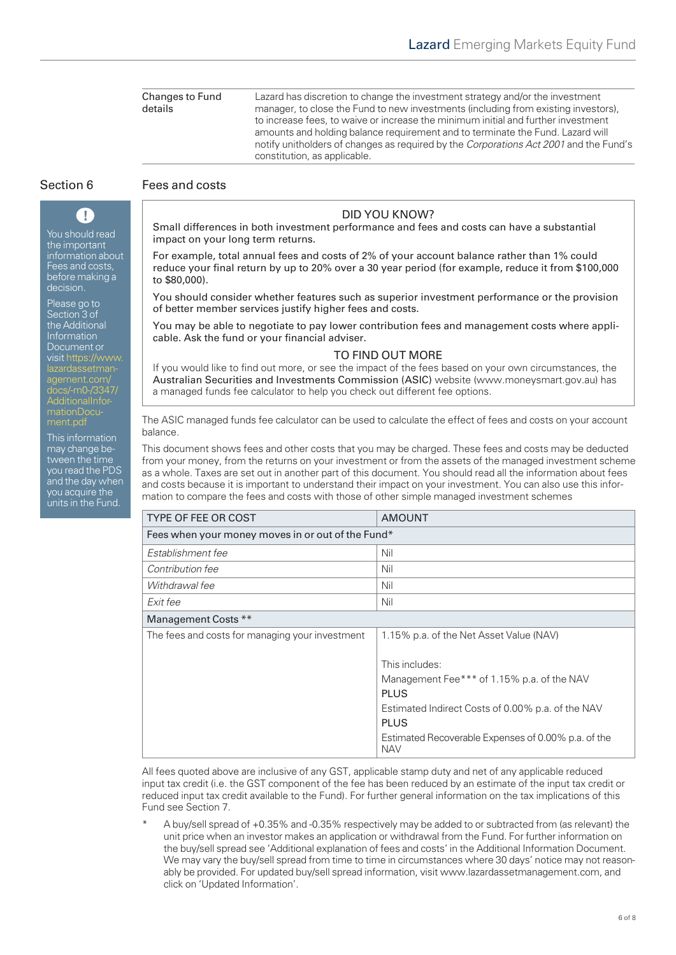Changes to Fund details Lazard has discretion to change the investment strategy and/or the investment manager, to close the Fund to new investments (including from existing investors), to increase fees, to waive or increase the minimum initial and further investment amounts and holding balance requirement and to terminate the Fund. Lazard will notify unitholders of changes as required by the *Corporations Act 2001* and the Fund's constitution, as applicable.

You should read the important information about Fees and costs, before making a decision.

T

Please go to Section 3 of the Additional Information Document or [visit https://www.](https://www.lazardassetmanagement.com/docs/-m0-/3347/AdditionalInformationDocument.pdf) lazardassetmanagement.com/ docs/-m0-/3347/ AdditionalInformationDocument.pdf

This information may change between the time you read the PDS and the day when you acquire the units in the Fund.

# Section 6 Fees and costs

# DID YOU KNOW?

Small differences in both investment performance and fees and costs can have a substantial impact on your long term returns.

For example, total annual fees and costs of 2% of your account balance rather than 1% could reduce your final return by up to 20% over a 30 year period (for example, reduce it from \$100,000 to \$80,000).

You should consider whether features such as superior investment performance or the provision of better member services justify higher fees and costs.

You may be able to negotiate to pay lower contribution fees and management costs where applicable. Ask the fund or your financial adviser.

## TO FIND OUT MORE

If you would like to find out more, or see the impact of the fees based on your own circumstances, the Australian Securities and Investments Commission (ASIC) website (www.moneysmart.gov.au) has a managed funds fee calculator to help you check out different fee options.

The ASIC managed funds fee calculator can be used to calculate the effect of fees and costs on your account balance.

This document shows fees and other costs that you may be charged. These fees and costs may be deducted from your money, from the returns on your investment or from the assets of the managed investment scheme as a whole. Taxes are set out in another part of this document. You should read all the information about fees and costs because it is important to understand their impact on your investment. You can also use this information to compare the fees and costs with those of other simple managed investment schemes

| <b>TYPE OF FEE OR COST</b>                        | <b>AMOUNT</b>                                                     |  |  |  |
|---------------------------------------------------|-------------------------------------------------------------------|--|--|--|
| Fees when your money moves in or out of the Fund* |                                                                   |  |  |  |
| Establishment fee                                 | Nil                                                               |  |  |  |
| Contribution fee                                  | Nil                                                               |  |  |  |
| Withdrawal fee                                    | Nil                                                               |  |  |  |
| Exit fee                                          | Nil                                                               |  |  |  |
| Management Costs **                               |                                                                   |  |  |  |
| The fees and costs for managing your investment   | 1.15% p.a. of the Net Asset Value (NAV)                           |  |  |  |
|                                                   |                                                                   |  |  |  |
|                                                   | This includes:                                                    |  |  |  |
|                                                   | Management Fee*** of 1.15% p.a. of the NAV                        |  |  |  |
|                                                   | <b>PLUS</b>                                                       |  |  |  |
|                                                   | Estimated Indirect Costs of 0.00% p.a. of the NAV                 |  |  |  |
|                                                   | <b>PLUS</b>                                                       |  |  |  |
|                                                   | Estimated Recoverable Expenses of 0.00% p.a. of the<br><b>NAV</b> |  |  |  |

All fees quoted above are inclusive of any GST, applicable stamp duty and net of any applicable reduced input tax credit (i.e. the GST component of the fee has been reduced by an estimate of the input tax credit or reduced input tax credit available to the Fund). For further general information on the tax implications of this Fund see Section 7.

A buy/sell spread of +0.35% and -0.35% respectively may be added to or subtracted from (as relevant) the unit price when an investor makes an application or withdrawal from the Fund. For further information on the buy/sell spread see 'Additional explanation of fees and costs' in the Additional Information Document. We may vary the buy/sell spread from time to time in circumstances where 30 days' notice may not reasonably be provided. For updated buy/sell spread information, visit www.lazardassetmanagement.com, and click on 'Updated Information'.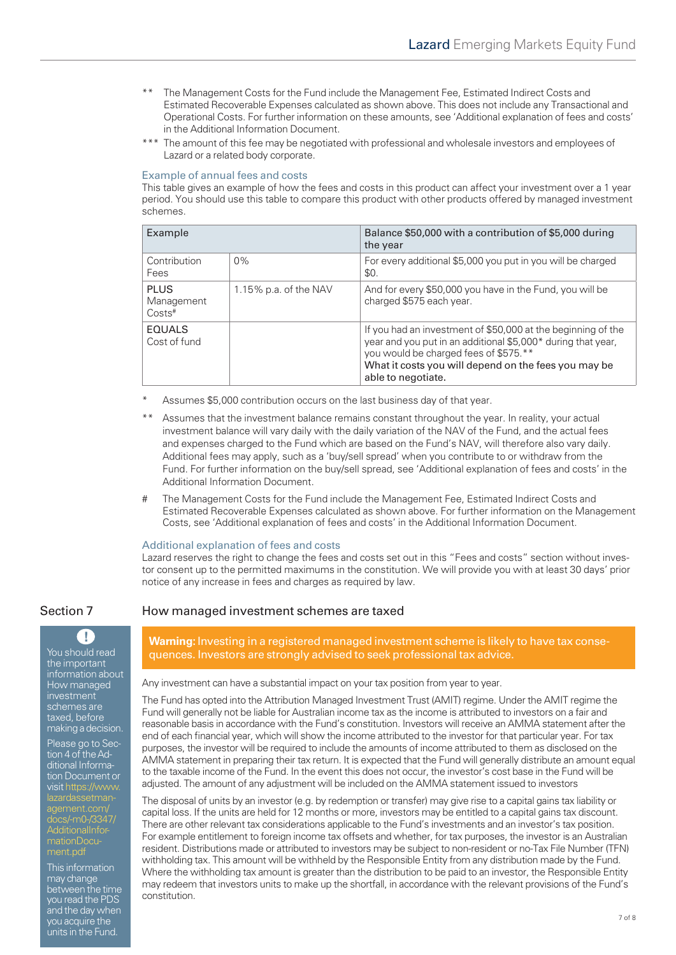- The Management Costs for the Fund include the Management Fee, Estimated Indirect Costs and Estimated Recoverable Expenses calculated as shown above. This does not include any Transactional and Operational Costs. For further information on these amounts, see 'Additional explanation of fees and costs' in the Additional Information Document.
- \*\*\* The amount of this fee may be negotiated with professional and wholesale investors and employees of Lazard or a related body corporate.

#### Example of annual fees and costs

This table gives an example of how the fees and costs in this product can affect your investment over a 1 year period. You should use this table to compare this product with other products offered by managed investment schemes.

| Example                                           |                       | Balance \$50,000 with a contribution of \$5,000 during<br>the year                                                                                                                                                                                  |
|---------------------------------------------------|-----------------------|-----------------------------------------------------------------------------------------------------------------------------------------------------------------------------------------------------------------------------------------------------|
| Contribution<br>Fees                              | $0\%$                 | For every additional \$5,000 you put in you will be charged<br>\$0.                                                                                                                                                                                 |
| <b>PLUS</b><br>Management<br>$Costs$ <sup>#</sup> | 1.15% p.a. of the NAV | And for every \$50,000 you have in the Fund, you will be<br>charged \$575 each year.                                                                                                                                                                |
| <b>EQUALS</b><br>Cost of fund                     |                       | If you had an investment of \$50,000 at the beginning of the<br>year and you put in an additional \$5,000* during that year,<br>you would be charged fees of \$575.**<br>What it costs you will depend on the fees you may be<br>able to negotiate. |

- Assumes \$5,000 contribution occurs on the last business day of that year.
- Assumes that the investment balance remains constant throughout the year. In reality, your actual investment balance will vary daily with the daily variation of the NAV of the Fund, and the actual fees and expenses charged to the Fund which are based on the Fund's NAV, will therefore also vary daily. Additional fees may apply, such as a 'buy/sell spread' when you contribute to or withdraw from the Fund. For further information on the buy/sell spread, see 'Additional explanation of fees and costs' in the Additional Information Document.
- # The Management Costs for the Fund include the Management Fee, Estimated Indirect Costs and Estimated Recoverable Expenses calculated as shown above. For further information on the Management Costs, see 'Additional explanation of fees and costs' in the Additional Information Document.

#### Additional explanation of fees and costs

Lazard reserves the right to change the fees and costs set out in this "Fees and costs" section without investor consent up to the permitted maximums in the constitution. We will provide you with at least 30 days' prior notice of any increase in fees and charges as required by law.



You should read the important information about How managed investment schemes are taxed, before making a decision.

Please go to Section 4 of the Additional Information Document or [visit https://www.](https://www.lazardassetmanagement.com/docs/-m0-/3347/AdditionalInformationDocument.pdf) lazardassetmanagement.com/ docs/-m0-/3347/ AdditionalInformationDocument.pdf

This information may change between the time you read the PDS and the day when you acquire the units in the Fund.

# Section 7 How managed investment schemes are taxed

**Warning:** Investing in a registered managed investment scheme is likely to have tax consequences. Investors are strongly advised to seek professional tax advice.

Any investment can have a substantial impact on your tax position from year to year.

The Fund has opted into the Attribution Managed Investment Trust (AMIT) regime. Under the AMIT regime the Fund will generally not be liable for Australian income tax as the income is attributed to investors on a fair and reasonable basis in accordance with the Fund's constitution. Investors will receive an AMMA statement after the end of each financial year, which will show the income attributed to the investor for that particular year. For tax purposes, the investor will be required to include the amounts of income attributed to them as disclosed on the AMMA statement in preparing their tax return. It is expected that the Fund will generally distribute an amount equal to the taxable income of the Fund. In the event this does not occur, the investor's cost base in the Fund will be adjusted. The amount of any adjustment will be included on the AMMA statement issued to investors

The disposal of units by an investor (e.g. by redemption or transfer) may give rise to a capital gains tax liability or capital loss. If the units are held for 12 months or more, investors may be entitled to a capital gains tax discount. There are other relevant tax considerations applicable to the Fund's investments and an investor's tax position. For example entitlement to foreign income tax offsets and whether, for tax purposes, the investor is an Australian resident. Distributions made or attributed to investors may be subject to non-resident or no-Tax File Number (TFN) withholding tax. This amount will be withheld by the Responsible Entity from any distribution made by the Fund. Where the withholding tax amount is greater than the distribution to be paid to an investor, the Responsible Entity may redeem that investors units to make up the shortfall, in accordance with the relevant provisions of the Fund's constitution.